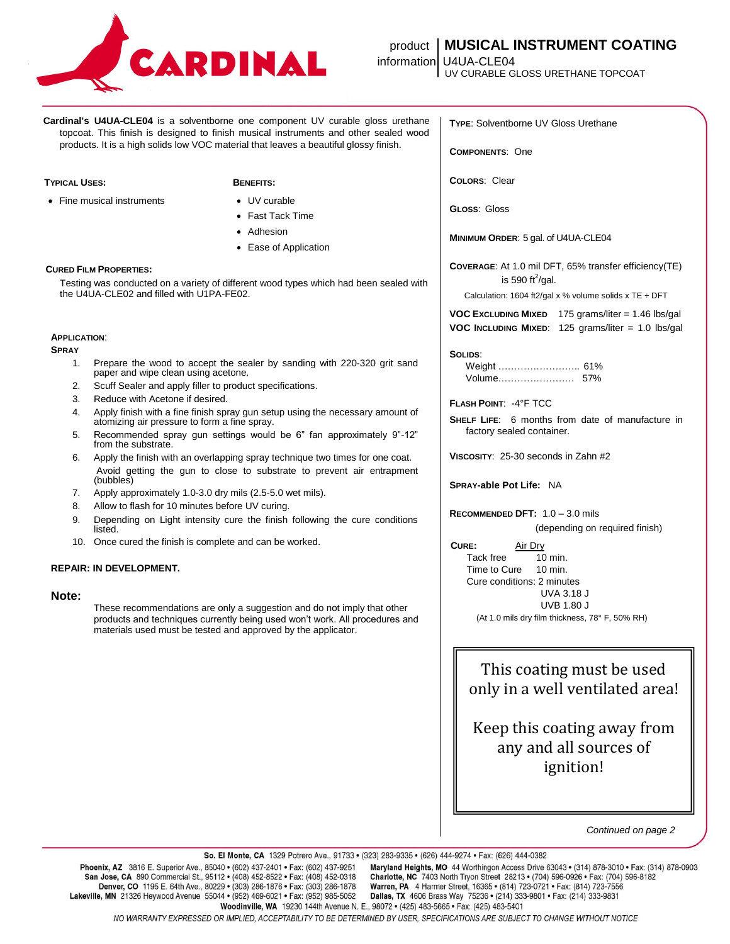

# product **MUSICAL INSTRUMENT COATING**

UV CURABLE GLOSS URETHANE TOPCOAT

**Cardinal's U4UA-CLE04** is a solventborne one component UV curable gloss urethane topcoat. This finish is designed to finish musical instruments and other sealed wood products. It is a high solids low VOC material that leaves a beautiful glossy finish.

## **TYPICAL USES: BENEFITS:**

• Fine musical instruments • UV curable

- 
- Fast Tack Time
- Adhesion
- Ease of Application

## **CURED FILM PROPERTIES:**

Testing was conducted on a variety of different wood types which had been sealed with the U4UA-CLE02 and filled with U1PA-FE02.

#### **APPLICATION**:

**SPRAY**

- 1. Prepare the wood to accept the sealer by sanding with 220-320 grit sand paper and wipe clean using acetone.
- 2. Scuff Sealer and apply filler to product specifications.
- 3. Reduce with Acetone if desired.
- 4. Apply finish with a fine finish spray gun setup using the necessary amount of atomizing air pressure to form a fine spray.
- 5. Recommended spray gun settings would be 6" fan approximately 9"-12" from the substrate.
- 6. Apply the finish with an overlapping spray technique two times for one coat. Avoid getting the gun to close to substrate to prevent air entrapment (bubbles)
- 7. Apply approximately 1.0-3.0 dry mils (2.5-5.0 wet mils).
- 8. Allow to flash for 10 minutes before UV curing.
- 9. Depending on Light intensity cure the finish following the cure conditions listed.
- 10. Once cured the finish is complete and can be worked.

# **REPAIR: IN DEVELOPMENT.**

# **Note:**

These recommendations are only a suggestion and do not imply that other products and techniques currently being used won't work. All procedures and materials used must be tested and approved by the applicator.

**TYPE**: Solventborne UV Gloss Urethane

**COMPONENTS**: One

**COLORS**: Clear

**GLOSS**: Gloss

**MINIMUM ORDER**: 5 gal. of U4UA-CLE04

**COVERAGE**: At 1.0 mil DFT, 65% transfer efficiency(TE) is 590 ft<sup>2</sup>/gal.

Calculation: 1604 ft2/gal x % volume solids x TE  $\div$  DFT

**VOC EXCLUDING MIXED** 175 grams/liter = 1.46 lbs/gal **VOC INCLUDING MIXED**: 125 grams/liter = 1.0 lbs/gal

### **SOLIDS**:

| Volume | 57% |
|--------|-----|

# **FLASH POINT**: -4°F TCC

**SHELF LIFE**: 6 months from date of manufacture in factory sealed container.

**VISCOSITY**: 25-30 seconds in Zahn #2

**SPRAY-able Pot Life:** NA

**RECOMMENDED DFT:** 1.0 – 3.0 mils

(depending on required finish)

**CURE:** Air Dry

Tack free 10 min. Time to Cure 10 min. Cure conditions: 2 minutes UVA 3.18 J UVB 1.80 J (At 1.0 mils dry film thickness, 78° F, 50% RH)

This coating must be used only in a well ventilated area!

Keep this coating away from any and all sources of ignition!

*Continued on page 2*

Woodinville, WA 19230 144th Avenue N. E., 98072 · (425) 483-5665 · Fax: (425) 483-5401

NO WARRANTY EXPRESSED OR IMPLIED, ACCEPTABILITY TO BE DETERMINED BY USER, SPECIFICATIONS ARE SUBJECT TO CHANGE WITHOUT NOTICE